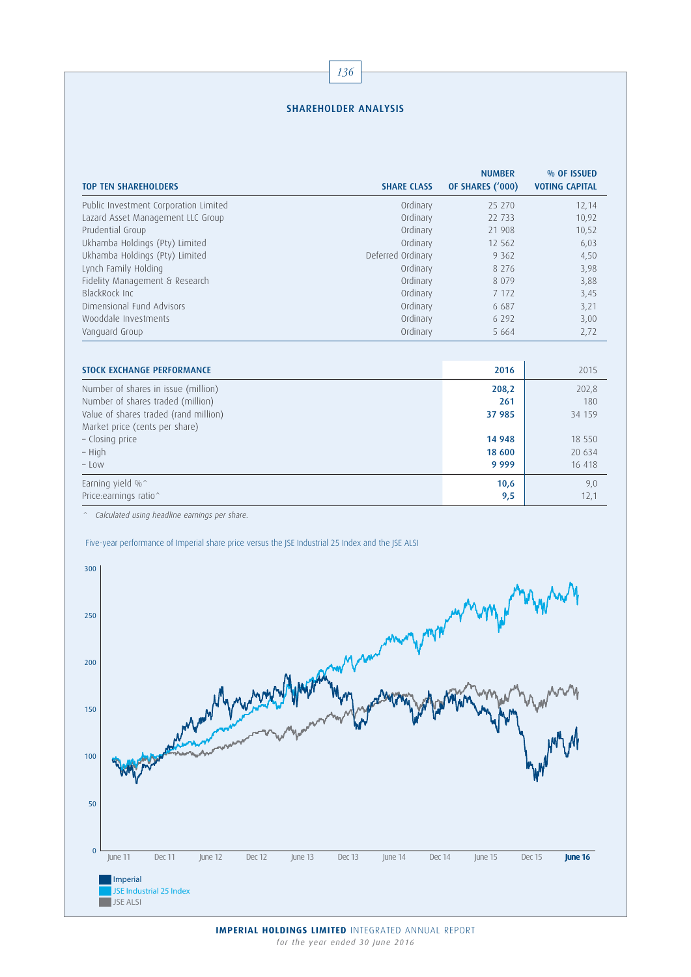## SHAREHOLDER ANALYSIS

| <b>TOP TEN SHAREHOLDERS</b>           | <b>SHARE CLASS</b> | <b>NUMBER</b><br>OF SHARES ('000) | % OF ISSUED<br><b>VOTING CAPITAL</b> |
|---------------------------------------|--------------------|-----------------------------------|--------------------------------------|
| Public Investment Corporation Limited | Ordinary           | 25 270                            | 12,14                                |
| Lazard Asset Management LLC Group     | Ordinary           | 22 733                            | 10,92                                |
| Prudential Group                      | Ordinary           | 21 908                            | 10,52                                |
| Ukhamba Holdings (Pty) Limited        | Ordinary           | 12 5 6 2                          | 6,03                                 |
| Ukhamba Holdings (Pty) Limited        | Deferred Ordinary  | 9 3 6 2                           | 4,50                                 |
| Lynch Family Holding                  | Ordinary           | 8 2 7 6                           | 3,98                                 |
| Fidelity Management & Research        | Ordinary           | 8 0 7 9                           | 3,88                                 |
| BlackRock Inc.                        | Ordinary           | 7 1 7 2                           | 3,45                                 |
| Dimensional Fund Advisors             | Ordinary           | 6 6 8 7                           | 3,21                                 |
| Wooddale Investments                  | Ordinary           | 6 2 9 2                           | 3,00                                 |
| Vanguard Group                        | Ordinary           | 5 6 6 4                           | 2,72                                 |
|                                       |                    |                                   |                                      |
| <b>STOCK EXCHANGE PERFORMANCE</b>     |                    | 2016                              | 2015                                 |
| Number of shares in issue (million)   |                    | 208,2                             | 202,8                                |
| Number of shares traded (million)     |                    | 261                               | 180                                  |
| Value of shares traded (rand million) |                    | 37 985                            | 34 159                               |
| Market price (cents per share)        |                    |                                   |                                      |
| - Closing price                       |                    | 14 948                            | 18 550                               |
| – High                                |                    | 18 600                            | 20 634                               |
| - Low                                 |                    | 9 9 9 9                           | 16 418                               |
| Earning yield %^                      |                    | 10,6                              | 9,0                                  |
| Price:earnings ratio^                 |                    | 9,5                               | 12,1                                 |

^ Calculated using headline earnings per share.

Five-year performance of Imperial share price versus the JSE Industrial 25 Index and the JSE ALSI